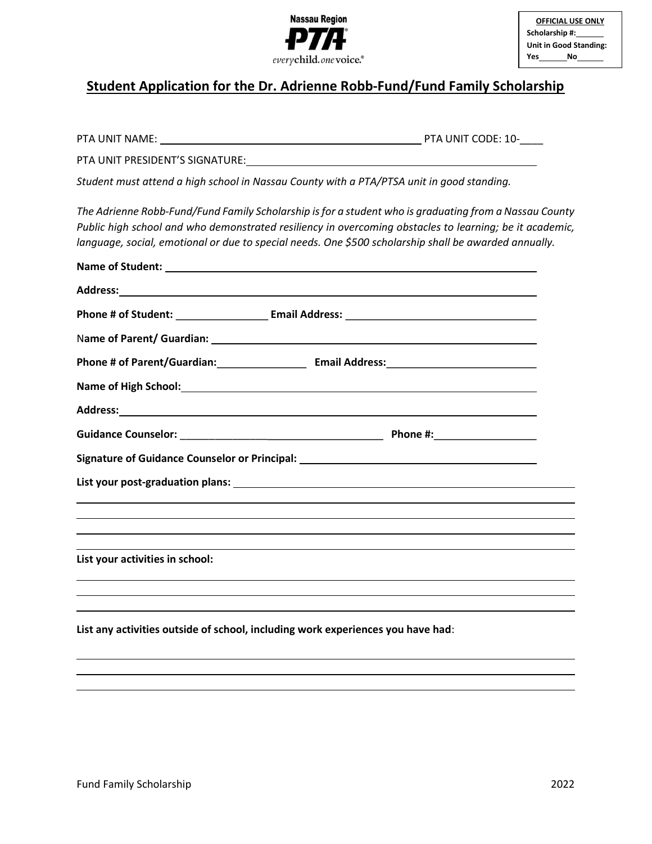

## Student Application for the Dr. Adrienne Robb-Fund/Fund Family Scholarship

| PTA UNIT NAME:<br><u> 1980 - Johann Stein, fransk politik (d. 1980)</u>                                        | PTA UNIT CODE: 10-                                                                                                                                                                                                                                                                                                         |  |
|----------------------------------------------------------------------------------------------------------------|----------------------------------------------------------------------------------------------------------------------------------------------------------------------------------------------------------------------------------------------------------------------------------------------------------------------------|--|
|                                                                                                                |                                                                                                                                                                                                                                                                                                                            |  |
| Student must attend a high school in Nassau County with a PTA/PTSA unit in good standing.                      |                                                                                                                                                                                                                                                                                                                            |  |
|                                                                                                                | The Adrienne Robb-Fund/Fund Family Scholarship is for a student who is graduating from a Nassau County<br>Public high school and who demonstrated resiliency in overcoming obstacles to learning; be it academic,<br>language, social, emotional or due to special needs. One \$500 scholarship shall be awarded annually. |  |
|                                                                                                                |                                                                                                                                                                                                                                                                                                                            |  |
|                                                                                                                |                                                                                                                                                                                                                                                                                                                            |  |
|                                                                                                                |                                                                                                                                                                                                                                                                                                                            |  |
|                                                                                                                |                                                                                                                                                                                                                                                                                                                            |  |
|                                                                                                                |                                                                                                                                                                                                                                                                                                                            |  |
|                                                                                                                |                                                                                                                                                                                                                                                                                                                            |  |
| Address: Address:                                                                                              |                                                                                                                                                                                                                                                                                                                            |  |
|                                                                                                                |                                                                                                                                                                                                                                                                                                                            |  |
| Signature of Guidance Counselor or Principal: Network of Contractor County of County of County of County of Co |                                                                                                                                                                                                                                                                                                                            |  |
|                                                                                                                |                                                                                                                                                                                                                                                                                                                            |  |
|                                                                                                                |                                                                                                                                                                                                                                                                                                                            |  |
|                                                                                                                |                                                                                                                                                                                                                                                                                                                            |  |
| List your activities in school:                                                                                |                                                                                                                                                                                                                                                                                                                            |  |
|                                                                                                                |                                                                                                                                                                                                                                                                                                                            |  |
|                                                                                                                |                                                                                                                                                                                                                                                                                                                            |  |
| List any activities outside of school, including work experiences you have had:                                |                                                                                                                                                                                                                                                                                                                            |  |
|                                                                                                                |                                                                                                                                                                                                                                                                                                                            |  |